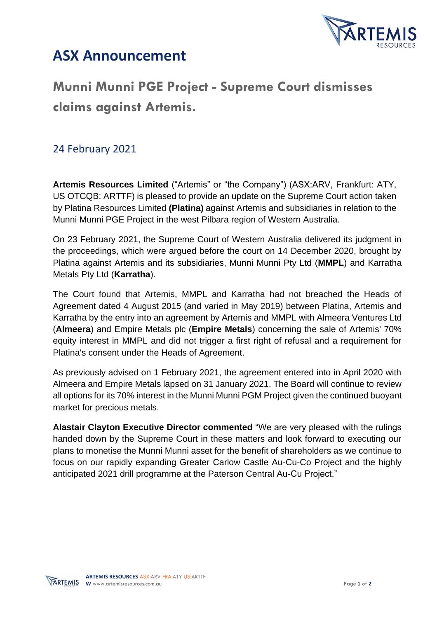

## **ASX Announcement**

## **Munni Munni PGE Project - Supreme Court dismisses claims against Artemis.**

## 24 February 2021

**Artemis Resources Limited** ("Artemis" or "the Company") (ASX:ARV, Frankfurt: ATY, US OTCQB: ARTTF) is pleased to provide an update on the Supreme Court action taken by Platina Resources Limited **(Platina)** against Artemis and subsidiaries in relation to the Munni Munni PGE Project in the west Pilbara region of Western Australia.

On 23 February 2021, the Supreme Court of Western Australia delivered its judgment in the proceedings, which were argued before the court on 14 December 2020, brought by Platina against Artemis and its subsidiaries, Munni Munni Pty Ltd (**MMPL**) and Karratha Metals Pty Ltd (**Karratha**).

The Court found that Artemis, MMPL and Karratha had not breached the Heads of Agreement dated 4 August 2015 (and varied in May 2019) between Platina, Artemis and Karratha by the entry into an agreement by Artemis and MMPL with Almeera Ventures Ltd (**Almeera**) and Empire Metals plc (**Empire Metals**) concerning the sale of Artemis' 70% equity interest in MMPL and did not trigger a first right of refusal and a requirement for Platina's consent under the Heads of Agreement.

As previously advised on 1 February 2021, the agreement entered into in April 2020 with Almeera and Empire Metals lapsed on 31 January 2021. The Board will continue to review all options for its 70% interest in the Munni Munni PGM Project given the continued buoyant market for precious metals.

**Alastair Clayton Executive Director commented** "We are very pleased with the rulings handed down by the Supreme Court in these matters and look forward to executing our plans to monetise the Munni Munni asset for the benefit of shareholders as we continue to focus on our rapidly expanding Greater Carlow Castle Au-Cu-Co Project and the highly anticipated 2021 drill programme at the Paterson Central Au-Cu Project."